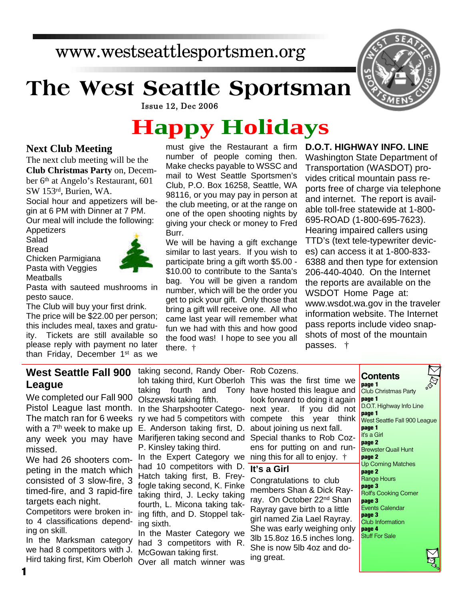# www.westseattlesportsmen.org

# **The West Seattle Sportsman**



**Issue 12, Dec 2006** 

# **Happy Holidays**

#### **Next Club Meeting**

The next club meeting will be the **Club Christmas Party** on, December 6<sup>th</sup> at Angelo's Restaurant, 601 SW 153rd, Burien, WA. Social hour and appetizers will be-

gin at 6 PM with Dinner at 7 PM. Our meal will include the following:

Appetizers Salad

Bread

Chicken Parmigiana Pasta with Veggies **Meatballs** 



Pasta with sauteed mushrooms in pesto sauce.

The Club will buy your first drink. The price will be \$22.00 per person; this includes meal, taxes and gratuity. Tickets are still available so please reply with payment no later than Friday, December 1<sup>st</sup> as we

must give the Restaurant a firm number of people coming then. Make checks payable to WSSC and mail to West Seattle Sportsmen's Club, P.O. Box 16258, Seattle, WA 98116, or you may pay in person at the club meeting, or at the range on one of the open shooting nights by giving your check or money to Fred Burr.

We will be having a gift exchange similar to last years. If you wish to participate bring a gift worth \$5.00 - \$10.00 to contribute to the Santa's bag. You will be given a random number, which will be the order you get to pick your gift. Only those that bring a gift will receive one. All who came last year will remember what fun we had with this and how good the food was! I hope to see you all there. †

**D.O.T. HIGHWAY INFO. LINE**

Washington State Department of Transportation (WASDOT) provides critical mountain pass reports free of charge via telephone and internet. The report is available toll-free statewide at 1-800- 695-ROAD (1-800-695-7623). Hearing impaired callers using TTD's (text tele-typewriter devices) can access it at 1-800-833- 6388 and then type for extension 206-440-4040. On the Internet the reports are available on the WSDOT Home Page at: www.wsdot.wa.gov in the traveler information website. The Internet pass reports include video snapshots of most of the mountain passes. †

### **West Seattle Fall 900 League**

We completed our Fall 900 Pistol League last month. The match ran for 6 weeks with a  $7<sup>th</sup>$  week to make up any week you may have missed.

We had 26 shooters competing in the match which consisted of 3 slow-fire, 3 timed-fire, and 3 rapid-fire targets each night.

Competitors were broken into 4 classifications depending on skill.

In the Marksman category we had 8 competitors with J. Hird taking first, Kim Oberloh

**1**

taking second, Randy Ober-Rob Cozens. loh taking third, Kurt Oberloh This was the first time we taking fourth Olszewski taking fifth.

In the Sharpshooter Catego- next year. ry we had 5 competitors with compete this year think E. Anderson taking first, D. Marifjeren taking second and P. Kinsley taking third.

In the Expert Category we ning this for all to enjoy.  $\dagger$ had 10 competitors with D. **It's a Girl** Hatch taking first, B. Freyfogle taking second, K. Finke taking third, J. Lecky taking fourth, L. Micona taking taking fifth, and D. Stoppel taking sixth.

In the Master Category we had 3 competitors with R. McGowan taking first.

Over all match winner was

and Tony have hosted this league and look forward to doing it again If you did not about joining us next fall. Special thanks to Rob Cozens for putting on and run-

Congratulations to club members Shan & Dick Rayray. On October 22<sup>nd</sup> Shan Rayray gave birth to a little girl named Zia Lael Rayray. She was early weighing only 3lb 15.8oz 16.5 inches long. She is now 5lb 4oz and doing great.

#### **Contents**

**page 1** Club Christmas Party **page 1** D.O.T. Highway Info Line **page 1** West Seattle Fall 900 League **page 1** it's a Girl **page 2** Brewster Quail Hunt **page 2** Up Coming Matches **page 2** Range Hours **page 3** Rolf's Cooking Corner **page 3** Events Calendar **page 3** Club Information **page 4** Stuff For Sale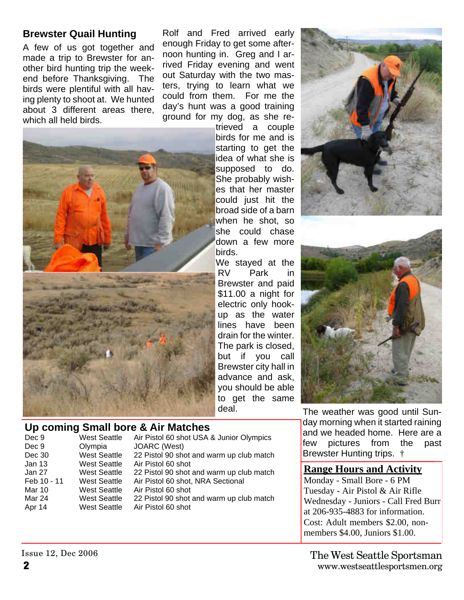### **Brewster Quail Hunting**

A few of us got together and made a trip to Brewster for another bird hunting trip the weekend before Thanksgiving. The birds were plentiful with all having plenty to shoot at. We hunted about 3 different areas there, which all held birds.

Rolf and Fred arrived early enough Friday to get some afternoon hunting in. Greg and I arrived Friday evening and went out Saturday with the two masters, trying to learn what we could from them. For me the day's hunt was a good training ground for my dog, as she re-



#### **Up coming Small bore & Air Matches**

| Dec 9         | <b>West Seattle</b> | Air Pistol 60 shot USA & Junior Olympics |
|---------------|---------------------|------------------------------------------|
| Dec 9         | Olympia             | JOARC (West)                             |
| Dec 30        | <b>West Seattle</b> | 22 Pistol 90 shot and warm up club match |
| Jan 13        | <b>West Seattle</b> | Air Pistol 60 shot                       |
| Jan 27        | <b>West Seattle</b> | 22 Pistol 90 shot and warm up club match |
| Feb 10 - 11   | <b>West Seattle</b> | Air Pistol 60 shot, NRA Sectional        |
| <b>Mar 10</b> | <b>West Seattle</b> | Air Pistol 60 shot                       |
| Mar 24        | <b>West Seattle</b> | 22 Pistol 90 shot and warm up club match |
| Apr 14        | <b>West Seattle</b> | Air Pistol 60 shot                       |
|               |                     |                                          |





The weather was good until Sunday morning when it started raining and we headed home. Here are a few pictures from the past Brewster Hunting trips. †

#### **Range Hours and Activity**

Monday - Small Bore - 6 PM Tuesday - Air Pistol & Air Rifle Wednesday - Juniors - Call Fred Burr at 206-935-4883 for information. Cost: Adult members \$2.00, nonmembers \$4.00, Juniors \$1.00.

Issue 12, Dec 2006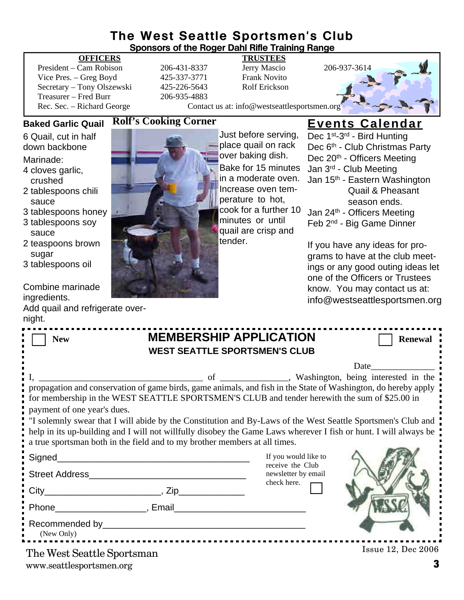#### **The West Seattle Sportsmen's Club Sponsors of the Roger Dahl Rifle Training Range**

#### **OFFICERS TRUSTEES**

President – Cam Robison 206-431-8337 Jerry Mascio 206-937-3614 Vice Pres. – Greg Boyd 425-337-3771 Frank Novito Secretary – Tony Olszewski 425-226-5643 Rolf Erickson Treasurer – Fred Burr 206-935-4883

Rec. Sec. – Richard George Contact us at: info@westseattlesportsmen.org

#### **Baked Garlic Quail**

6 Quail, cut in half down backbone

Marinade:

- 4 cloves garlic, crushed
- 2 tablespoons chili sauce
- 3 tablespoons honey
- 3 tablespoons soy sauce
- 2 teaspoons brown sugar
- 3 tablespoons oil

#### Combine marinade ingredients.

Add quail and refrigerate overnight.



**Rolf's Cooking Corner**

Just before serving, place quail on rack over baking dish. Bake for 15 minutes in a moderate oven. Increase oven temperature to hot, cook for a further 10 minutes or until quail are crisp and tender.

## **Events Calendar**

Dec 1<sup>st</sup>-3<sup>rd</sup> - Bird Hunting Dec 6<sup>th</sup> - Club Christmas Party Dec 20<sup>th</sup> - Officers Meeting Jan 3rd - Club Meeting Jan 15<sup>th</sup> - Eastern Washington Quail & Pheasant season ends. Jan 24th - Officers Meeting

Feb 2nd - Big Game Dinner

If you have any ideas for programs to have at the club meetings or any good outing ideas let one of the Officers or Trustees know. You may contact us at: info@westseattlesportsmen.org

| <b>MEMBERSHIP APPLICATION</b><br><b>New</b><br><b>WEST SEATTLE SPORTSMEN'S CLUB</b>                                                                                                                                              | <b>Renewal</b>                                                  |  |  |  |
|----------------------------------------------------------------------------------------------------------------------------------------------------------------------------------------------------------------------------------|-----------------------------------------------------------------|--|--|--|
|                                                                                                                                                                                                                                  | $Date$ <sub>______</sub>                                        |  |  |  |
| for membership in the WEST SEATTLE SPORTSMEN'S CLUB and tender herewith the sum of \$25.00 in                                                                                                                                    |                                                                 |  |  |  |
| payment of one year's dues.                                                                                                                                                                                                      |                                                                 |  |  |  |
| "I solemnly swear that I will abide by the Constitution and By-Laws of the West Seattle Sportsmen's Club and<br>help in its up-building and I will not willfully disobey the Game Laws wherever I fish or hunt. I will always be |                                                                 |  |  |  |
| a true sportsman both in the field and to my brother members at all times.                                                                                                                                                       |                                                                 |  |  |  |
| Signed________<br><b>Street Address</b>                                                                                                                                                                                          | If you would like to<br>receive the Club<br>newsletter by email |  |  |  |
|                                                                                                                                                                                                                                  | check here.                                                     |  |  |  |
|                                                                                                                                                                                                                                  |                                                                 |  |  |  |
| (New Only)                                                                                                                                                                                                                       |                                                                 |  |  |  |
| The West Seattle Sportsman                                                                                                                                                                                                       | <b>Issue 12, Dec 2006</b>                                       |  |  |  |

www.seattlesportsmen.org **3**